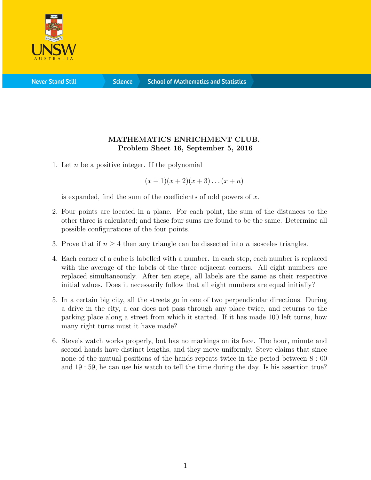

**Science** 

## MATHEMATICS ENRICHMENT CLUB. Problem Sheet 16, September 5, 2016

1. Let  $n$  be a positive integer. If the polynomial

 $(x + 1)(x + 2)(x + 3)...(x + n)$ 

is expanded, find the sum of the coefficients of odd powers of  $x$ .

- 2. Four points are located in a plane. For each point, the sum of the distances to the other three is calculated; and these four sums are found to be the same. Determine all possible configurations of the four points.
- 3. Prove that if  $n \geq 4$  then any triangle can be dissected into n isosceles triangles.
- 4. Each corner of a cube is labelled with a number. In each step, each number is replaced with the average of the labels of the three adjacent corners. All eight numbers are replaced simultaneously. After ten steps, all labels are the same as their respective initial values. Does it necessarily follow that all eight numbers are equal initially?
- 5. In a certain big city, all the streets go in one of two perpendicular directions. During a drive in the city, a car does not pass through any place twice, and returns to the parking place along a street from which it started. If it has made 100 left turns, how many right turns must it have made?
- 6. Steve's watch works properly, but has no markings on its face. The hour, minute and second hands have distinct lengths, and they move uniformly. Steve claims that since none of the mutual positions of the hands repeats twice in the period between 8 : 00 and 19 : 59, he can use his watch to tell the time during the day. Is his assertion true?